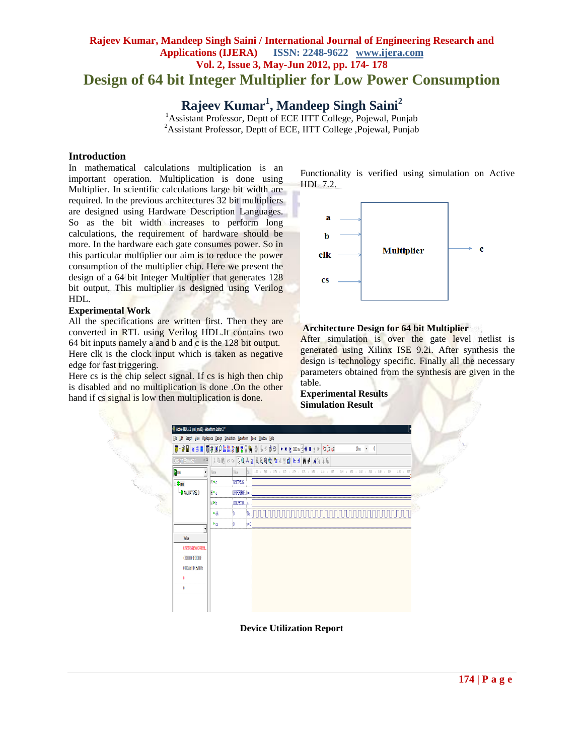# **Rajeev Kumar, Mandeep Singh Saini / International Journal of Engineering Research and Applications (IJERA) ISSN: 2248-9622 www.ijera.com Vol. 2, Issue 3, May-Jun 2012, pp. 174- 178 Design of 64 bit Integer Multiplier for Low Power Consumption**

**Rajeev Kumar<sup>1</sup> , Mandeep Singh Saini<sup>2</sup>**

<sup>1</sup> Assistant Professor, Deptt of ECE IITT College, Pojewal, Punjab <sup>2</sup>Assistant Professor, Deptt of ECE, IITT College ,Pojewal, Punjab

## **Introduction**

In mathematical calculations multiplication is an important operation. Multiplication is done using Multiplier. In scientific calculations large bit width are required. In the previous architectures 32 bit multipliers are designed using Hardware Description Languages. So as the bit width increases to perform long calculations, the requirement of hardware should be more. In the hardware each gate consumes power. So in this particular multiplier our aim is to reduce the power consumption of the multiplier chip. Here we present the design of a 64 bit Integer Multiplier that generates 128 bit output. This multiplier is designed using Verilog HDL.

#### **Experimental Work**

All the specifications are written first. Then they are converted in RTL using Verilog HDL.It contains two 64 bit inputs namely a and b and c is the 128 bit output. Here clk is the clock input which is taken as negative

edge for fast triggering. Here cs is the chip select signal. If cs is high then chip is disabled and no multiplication is done .On the other hand if cs signal is low then multiplication is done.

Functionality is verified using simulation on Active HDL 7.2.



### **Architecture Design for 64 bit Multiplier**

After simulation is over the gate level netlist is generated using Xilinx ISE 9.2i. After synthesis the design is technology specific. Finally all the necessary parameters obtained from the synthesis are given in the table.

**Experimental Results Simulation Result**



**Device Utilization Report**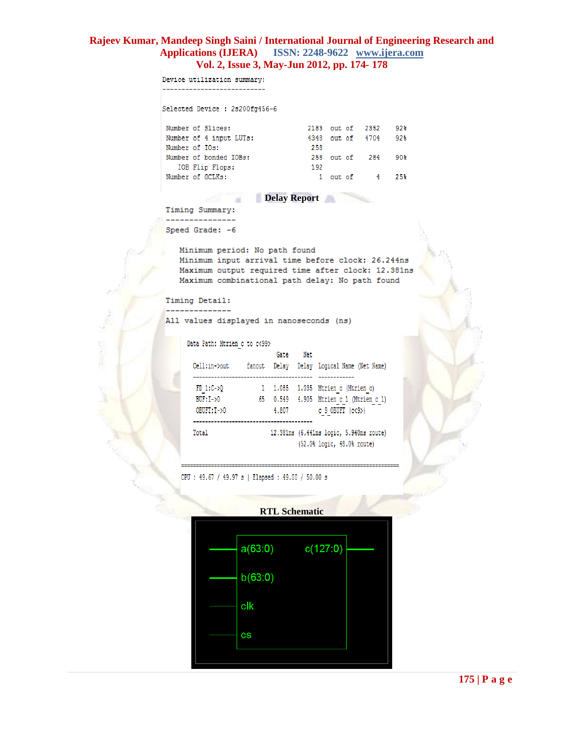Device utilization summary: \_\_\_\_\_\_\_\_\_\_\_\_\_\_\_\_\_\_\_\_\_\_\_\_\_\_ Selected Device : 2s200fg456-6 Number of Slices:<br>
Number of 4 input LUTs:<br>
4348 out of 4704 92% Number of 4 input **Delay Report**<br>
Number of bonded IOBs:<br>
192<br>
Number of GCLKs:<br> **Delay Report**<br> **Delay Report** Timing Summary: \_\_\_\_\_\_\_\_\_\_\_\_\_\_\_ Speed Grade: - 6 Minimum period: No path found Minimum input arrival time before clock: 26.244ns Maximum output required time after clock: 12.381ns Maximum combinational path delay: No path found Timing Detail: --------------All values displayed in nanoseconds (ns) Data Path: Mtrien c to c<99> Gate Net Cell:in->out fanout Delay Delay Logical Name (Net Name)  $\begin{tabular}{lllllllllll} \texttt{FD\_1:C->Q} & & & & 1 & 1.085 & 1.035 & \texttt{Mtriangle} & (\texttt{Mtriangle}) \\ \texttt{BUF: I->O} & & & 65 & 0.549 & 4.905 & \texttt{Mtriangle} & (\texttt{Mtriangle} & \texttt{C} \\ \texttt{OBIFT: T->O} & & & 4.807 & & & c\_9\_OBIFT & (c\texttt{<9.}) \\ \end{tabular}$ 12.381ns (6.441ns logic, 5.940ns route) Total (52.0% logic, 48.0% route)

CPU: 49.67 / 49.97 s | Elapsed: 49.00 / 50.00 s



**175 | P a g e**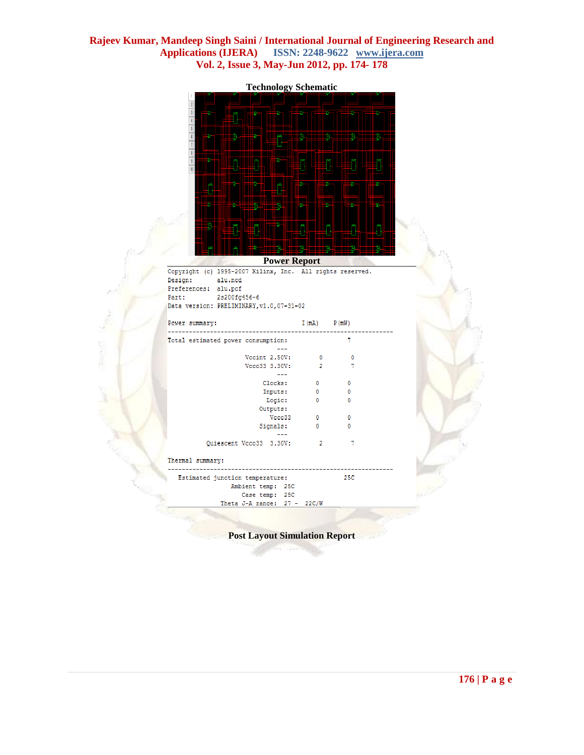**Technology Schematic**

#### **Power Report**

|                      | Copyright (c) 1995-2007 Xilinx, Inc. All rights reserved. |
|----------------------|-----------------------------------------------------------|
| Design:              | alu.ncd                                                   |
| Preferences: alu.pcf |                                                           |
| Part:                | 2s200fg456-6                                              |
|                      | Data version: PRELIMINARY, v1.0, 07-31-02                 |
|                      |                                                           |

| Power summary:   |                                    | $I(mA)$ $P(mW)$ |              |  |
|------------------|------------------------------------|-----------------|--------------|--|
|                  | Total estimated power consumption: |                 | 7            |  |
|                  | Vecint 2.50V:                      | $\circ$         | $\mathbf{0}$ |  |
|                  | Vcco33 3.30V:                      | 2               | 7            |  |
|                  | Clocks:                            | 0               | 0            |  |
|                  | Inputs:                            | $\circ$         | 0            |  |
|                  | Logic:                             | $\Omega$        | 0            |  |
|                  | Outputs:                           |                 |              |  |
|                  | Vcco33                             | $\circ$         | 0            |  |
|                  | Signals:                           | $\Omega$        | 0            |  |
|                  | Quiescent Vcco33 3.30V:            | $\overline{2}$  | 7            |  |
| Thermal summary: |                                    |                 |              |  |
|                  | Estimated junction temperature:    |                 | 25C          |  |
|                  | Ambient temp: 25C                  |                 |              |  |
|                  | Case temp: 25C                     |                 |              |  |
|                  | Theta J-A range: $27 - 22C/W$      |                 |              |  |

**Post Layout Simulation Report**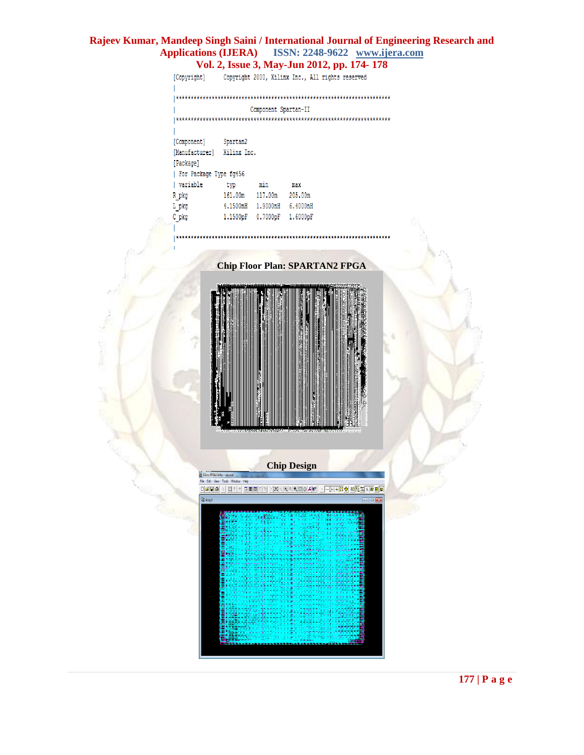Copyright 2000, Xilinx Inc., All rights reserved [Copyright]

Component Spartan-II

| [Component]            | Spartan2    |          |          |  |
|------------------------|-------------|----------|----------|--|
| [Manufacturer]         | Xilinx Inc. |          |          |  |
| [Package]              |             |          |          |  |
| For Package Type fg456 |             |          |          |  |
| variable               | typ         | min      | max      |  |
| R pkg                  | 161.00m     | 117.00m  | 205.00m  |  |
| L pkg                  | 4.1500nH    | 1.9000nH | 6.4000nH |  |
| C pkg                  | 1.1500pF    | 0.7000pF | 1.6000pF |  |
|                        |             |          |          |  |

 $\overline{\phantom{a}}$ 

**Chip Floor Plan: SPARTAN2 FPGA**



**Chip Design**

Xilinx FPGA Editor - al File Edit View Tools Wir w Help .<br>미여민의 시 티비비 미리티페 지저의에서에이어서에 - - H-H-H 이 이동지시[B]

**St** Am

 $\overline{a}$